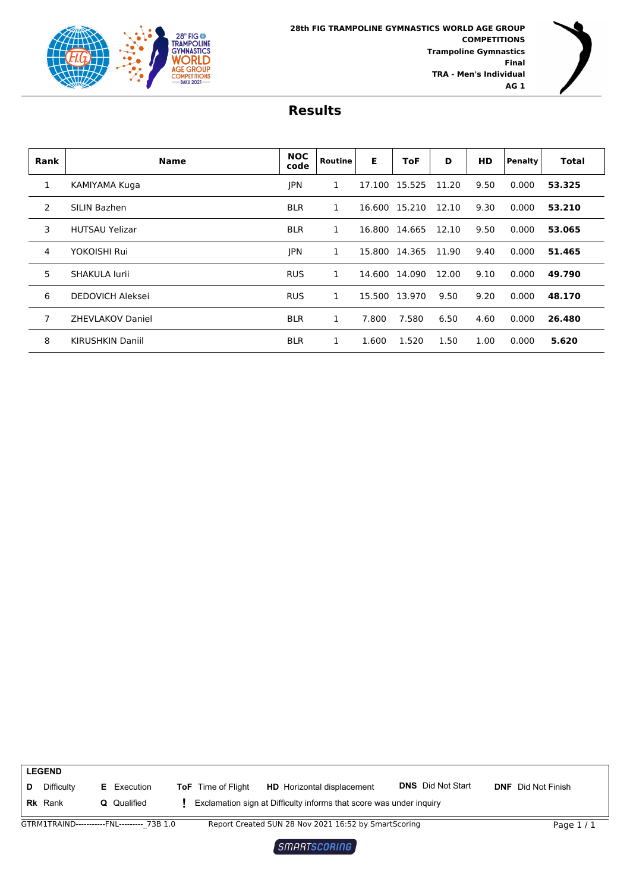



| <b>Rank</b> | <b>Name</b>             | <b>NOC</b><br>code | Routine | E      | ToF    | D     | <b>HD</b> | Penalty | <b>Total</b> |
|-------------|-------------------------|--------------------|---------|--------|--------|-------|-----------|---------|--------------|
| 1           | KAMIYAMA Kuga           | <b>IPN</b>         | 1       | 17.100 | 15.525 | 11.20 | 9.50      | 0.000   | 53.325       |
| 2           | SILIN Bazhen            | <b>BLR</b>         | 1       | 16.600 | 15.210 | 12.10 | 9.30      | 0.000   | 53.210       |
| 3           | <b>HUTSAU Yelizar</b>   | <b>BLR</b>         | 1       | 16.800 | 14.665 | 12.10 | 9.50      | 0.000   | 53.065       |
| 4           | YOKOISHI Rui            | <b>JPN</b>         | 1       | 15.800 | 14.365 | 11.90 | 9.40      | 0.000   | 51.465       |
| 5           | SHAKULA lurii           | <b>RUS</b>         | 1       | 14.600 | 14.090 | 12.00 | 9.10      | 0.000   | 49.790       |
| 6           | <b>DEDOVICH Aleksei</b> | <b>RUS</b>         | 1       | 15.500 | 13.970 | 9.50  | 9.20      | 0.000   | 48.170       |
| 7           | <b>ZHEVLAKOV Daniel</b> | <b>BLR</b>         | 1       | 7.800  | 7.580  | 6.50  | 4.60      | 0.000   | 26.480       |
| 8           | <b>KIRUSHKIN Daniil</b> | <b>BLR</b>         | 1       | 1.600  | 1.520  | 1.50  | 1.00      | 0.000   | 5.620        |

|   | <b>LEGEND</b>  |    |                                            |                           |                                                                     |                          |                           |
|---|----------------|----|--------------------------------------------|---------------------------|---------------------------------------------------------------------|--------------------------|---------------------------|
| D | Difficulty     | Е. | Execution                                  | <b>ToF</b> Time of Flight | <b>HD</b> Horizontal displacement                                   | <b>DNS</b> Did Not Start | <b>DNF</b> Did Not Finish |
|   | <b>Rk</b> Rank |    | <b>Q</b> Qualified                         |                           | Exclamation sign at Difficulty informs that score was under inquiry |                          |                           |
|   |                |    | GTRM1TRAIND-----------FNL--------- 73B 1.0 |                           | Report Created SUN 28 Nov 2021 16:52 by SmartScoring                |                          | Page $1/1$                |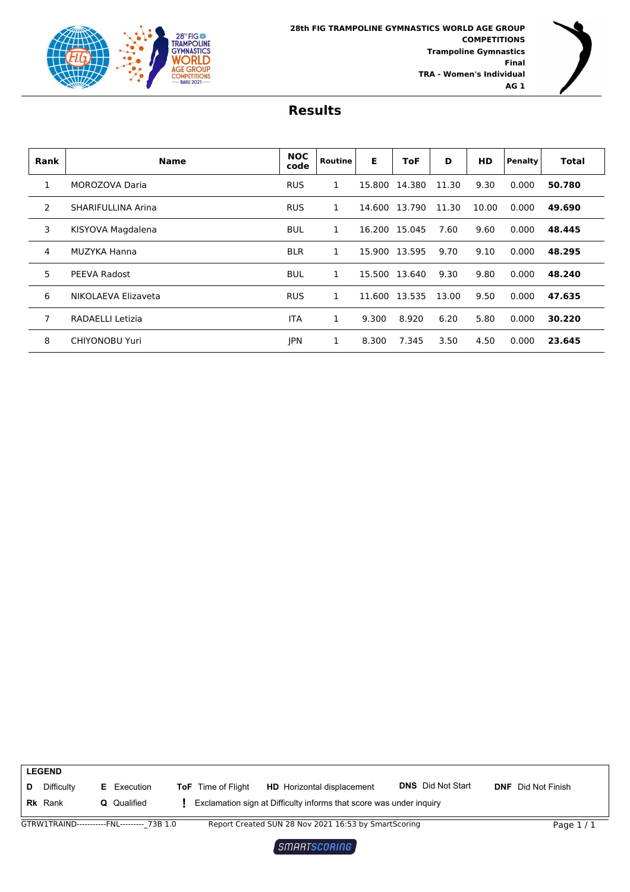



| <b>Rank</b>    | <b>Name</b>           | <b>NOC</b><br>code | Routine | Е      | ToF           | D     | <b>HD</b> | Penalty | <b>Total</b> |
|----------------|-----------------------|--------------------|---------|--------|---------------|-------|-----------|---------|--------------|
| 1              | MOROZOVA Daria        | <b>RUS</b>         | 1       | 15.800 | 14.380        | 11.30 | 9.30      | 0.000   | 50.780       |
| 2              | SHARIFULLINA Arina    | <b>RUS</b>         | 1       |        | 14.600 13.790 | 11.30 | 10.00     | 0.000   | 49.690       |
| 3              | KISYOVA Magdalena     | <b>BUL</b>         | 1       | 16.200 | 15.045        | 7.60  | 9.60      | 0.000   | 48.445       |
| 4              | MUZYKA Hanna          | <b>BLR</b>         | 1       | 15.900 | 13.595        | 9.70  | 9.10      | 0.000   | 48.295       |
| 5              | PEEVA Radost          | <b>BUL</b>         |         |        | 15.500 13.640 | 9.30  | 9.80      | 0.000   | 48.240       |
| 6              | NIKOLAEVA Elizaveta   | <b>RUS</b>         | 1       | 11.600 | 13.535        | 13.00 | 9.50      | 0.000   | 47.635       |
| $\overline{7}$ | RADAELLI Letizia      | <b>ITA</b>         | 1       | 9.300  | 8.920         | 6.20  | 5.80      | 0.000   | 30.220       |
| 8              | <b>CHIYONOBU Yuri</b> | <b>IPN</b>         | 1       | 8.300  | 7.345         | 3.50  | 4.50      | 0.000   | 23.645       |



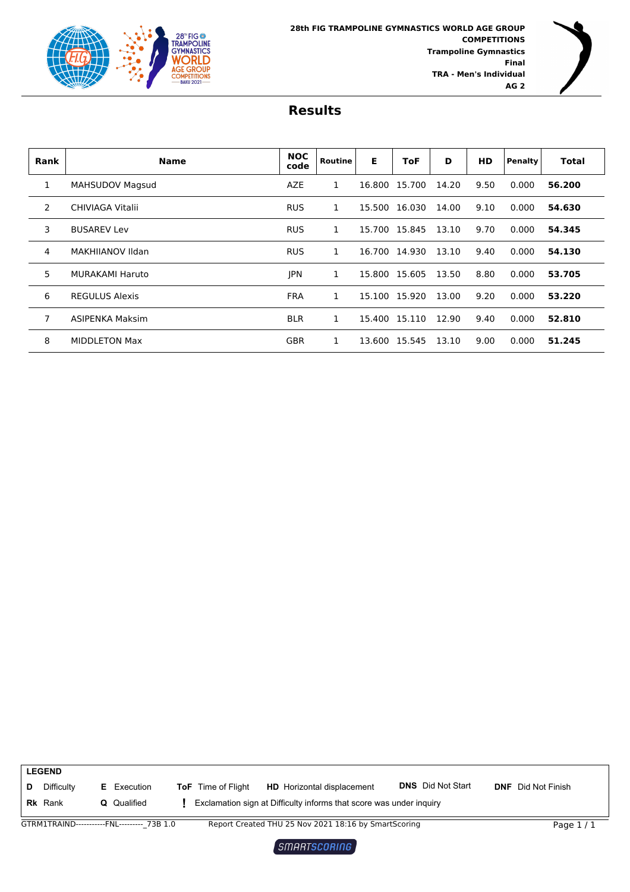



| <b>Rank</b> | <b>Name</b>            | <b>NOC</b><br>code | Routine | Е      | ToF    | D     | HD   | Penalty | <b>Total</b> |
|-------------|------------------------|--------------------|---------|--------|--------|-------|------|---------|--------------|
| 1           | <b>MAHSUDOV Magsud</b> | AZE                | 1       | 16.800 | 15.700 | 14.20 | 9.50 | 0.000   | 56.200       |
| 2           | CHIVIAGA Vitalii       | <b>RUS</b>         | 1       | 15.500 | 16.030 | 14.00 | 9.10 | 0.000   | 54.630       |
| 3           | <b>BUSAREV Lev</b>     | <b>RUS</b>         | 1       | 15.700 | 15.845 | 13.10 | 9.70 | 0.000   | 54.345       |
| 4           | MAKHIIANOV Ildan       | <b>RUS</b>         | 1       | 16.700 | 14.930 | 13.10 | 9.40 | 0.000   | 54.130       |
| 5           | <b>MURAKAMI Haruto</b> | <b>JPN</b>         | 1       | 15.800 | 15.605 | 13.50 | 8.80 | 0.000   | 53.705       |
| 6           | <b>REGULUS Alexis</b>  | <b>FRA</b>         | 1       | 15.100 | 15.920 | 13.00 | 9.20 | 0.000   | 53.220       |
| 7           | ASIPENKA Maksim        | <b>BLR</b>         | 1       | 15.400 | 15.110 | 12.90 | 9.40 | 0.000   | 52.810       |
| 8           | <b>MIDDLETON Max</b>   | <b>GBR</b>         | 1       | 13.600 | 15.545 | 13.10 | 9.00 | 0.000   | 51.245       |

|   | <b>LEGEND</b>  |    |                                            |                           |                                                                     |                          |                           |
|---|----------------|----|--------------------------------------------|---------------------------|---------------------------------------------------------------------|--------------------------|---------------------------|
| D | Difficulty     | Е. | Execution                                  | <b>ToF</b> Time of Flight | <b>HD</b> Horizontal displacement                                   | <b>DNS</b> Did Not Start | <b>DNF</b> Did Not Finish |
|   | <b>Rk</b> Rank |    | <b>Q</b> Qualified                         |                           | Exclamation sign at Difficulty informs that score was under inquiry |                          |                           |
|   |                |    | GTRM1TRAIND-----------FNL--------- 73B 1.0 |                           | Report Created THU 25 Nov 2021 18:16 by SmartScoring                |                          | Page $1/1$                |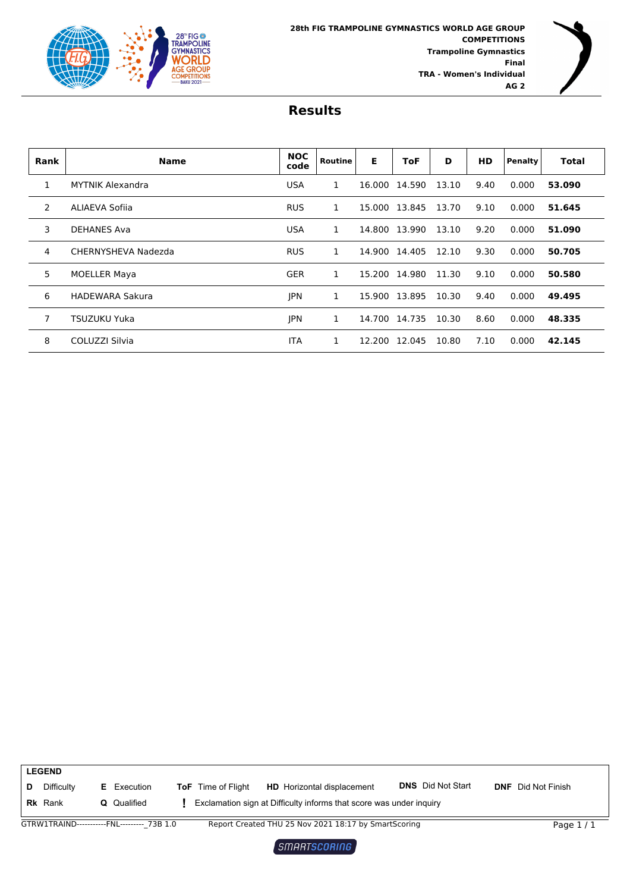



| Rank         | <b>Name</b>             | <b>NOC</b><br>code | <b>Routine</b> | Е      | <b>ToF</b>    | D     | <b>HD</b> | <b>Penalty</b> | <b>Total</b> |
|--------------|-------------------------|--------------------|----------------|--------|---------------|-------|-----------|----------------|--------------|
| $\mathbf{1}$ | <b>MYTNIK Alexandra</b> | <b>USA</b>         | 1              | 16.000 | 14.590        | 13.10 | 9.40      | 0.000          | 53.090       |
| 2            | ALIAEVA Sofiia          | <b>RUS</b>         | 1              |        | 15,000 13.845 | 13.70 | 9.10      | 0.000          | 51.645       |
| 3            | <b>DEHANES Ava</b>      | <b>USA</b>         | 1              |        | 14.800 13.990 | 13.10 | 9.20      | 0.000          | 51.090       |
| 4            | CHERNYSHEVA Nadezda     | <b>RUS</b>         | 1              | 14.900 | 14.405        | 12.10 | 9.30      | 0.000          | 50.705       |
| 5            | <b>MOELLER Maya</b>     | <b>GER</b>         | 1              | 15.200 | 14.980        | 11.30 | 9.10      | 0.000          | 50.580       |
| 6            | <b>HADEWARA Sakura</b>  | <b>IPN</b>         | 1              | 15.900 | 13.895        | 10.30 | 9.40      | 0.000          | 49.495       |
| 7            | <b>TSUZUKU Yuka</b>     | <b>JPN</b>         | 1              | 14.700 | 14.735        | 10.30 | 8.60      | 0.000          | 48.335       |
| 8            | COLUZZI Silvia          | <b>ITA</b>         | 1              | 12.200 | 12.045        | 10.80 | 7.10      | 0.000          | 42.145       |

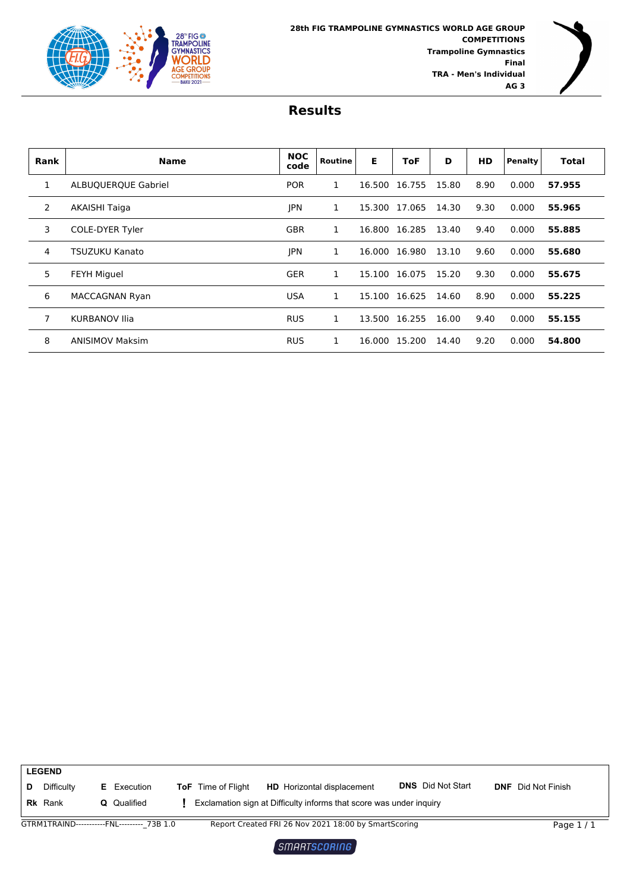



| <b>Rank</b>    | <b>Name</b>                | <b>NOC</b><br>code | Routine | Е      | ToF    | D     | <b>HD</b> | <b>Penalty</b> | Total  |
|----------------|----------------------------|--------------------|---------|--------|--------|-------|-----------|----------------|--------|
| 1              | <b>ALBUQUERQUE Gabriel</b> | <b>POR</b>         | 1       | 16.500 | 16.755 | 15.80 | 8.90      | 0.000          | 57.955 |
| $\overline{2}$ | <b>AKAISHI Taiga</b>       | <b>IPN</b>         |         | 15.300 | 17.065 | 14.30 | 9.30      | 0.000          | 55.965 |
| 3              | COLE-DYER Tyler            | <b>GBR</b>         | 1       | 16.800 | 16.285 | 13.40 | 9.40      | 0.000          | 55.885 |
| 4              | TSUZUKU Kanato             | <b>JPN</b>         | 1       | 16.000 | 16.980 | 13.10 | 9.60      | 0.000          | 55.680 |
| 5              | <b>FEYH Miguel</b>         | <b>GER</b>         | 1       | 15.100 | 16.075 | 15.20 | 9.30      | 0.000          | 55.675 |
| 6              | MACCAGNAN Ryan             | <b>USA</b>         | 1       | 15.100 | 16.625 | 14.60 | 8.90      | 0.000          | 55.225 |
| 7              | <b>KURBANOV Ilia</b>       | <b>RUS</b>         | 1       | 13.500 | 16.255 | 16.00 | 9.40      | 0.000          | 55.155 |
| 8              | <b>ANISIMOV Maksim</b>     | <b>RUS</b>         | 1       | 16.000 | 15.200 | 14.40 | 9.20      | 0.000          | 54.800 |

|   | <b>LEGEND</b>                |    |                                            |                           |                                                                                                          |                          |                           |
|---|------------------------------|----|--------------------------------------------|---------------------------|----------------------------------------------------------------------------------------------------------|--------------------------|---------------------------|
| D | Difficulty<br><b>Rk</b> Rank | Е. | Execution<br><b>Q</b> Qualified            | <b>ToF</b> Time of Flight | <b>HD</b> Horizontal displacement<br>Exclamation sign at Difficulty informs that score was under inquiry | <b>DNS</b> Did Not Start | <b>DNF</b> Did Not Finish |
|   |                              |    |                                            |                           |                                                                                                          |                          |                           |
|   |                              |    | GTRM1TRAIND-----------FNL--------- 73B 1.0 |                           | Report Created FRI 26 Nov 2021 18:00 by SmartScoring                                                     |                          | Page $1/1$                |

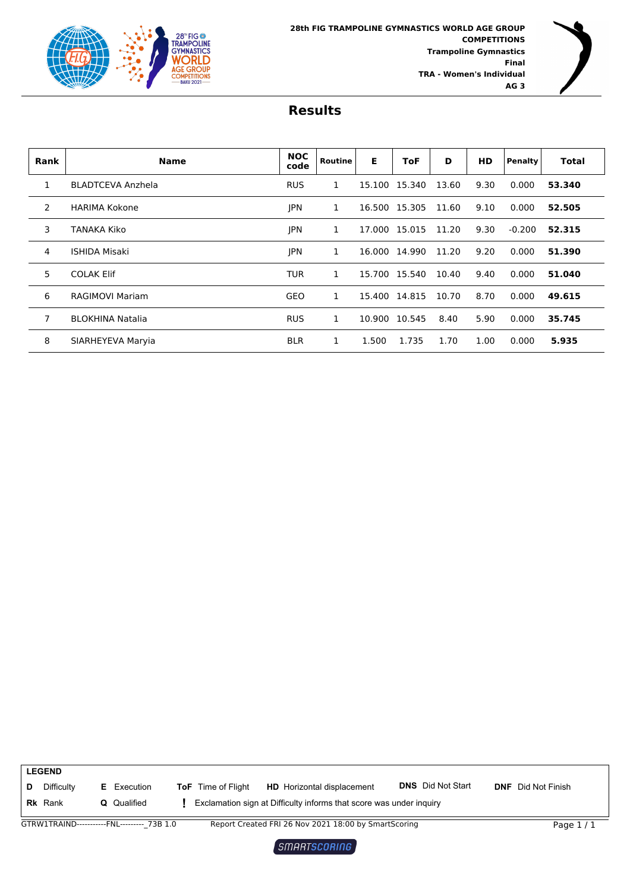



| <b>Rank</b> | <b>Name</b>              | <b>NOC</b><br>code | Routine | Е      | <b>ToF</b>    | D     | <b>HD</b> | Penalty  | <b>Total</b> |
|-------------|--------------------------|--------------------|---------|--------|---------------|-------|-----------|----------|--------------|
| 1           | <b>BLADTCEVA Anzhela</b> | <b>RUS</b>         | 1       | 15.100 | 15.340        | 13.60 | 9.30      | 0.000    | 53.340       |
| 2           | <b>HARIMA Kokone</b>     | <b>JPN</b>         | 1       | 16.500 | 15.305        | 11.60 | 9.10      | 0.000    | 52.505       |
| 3           | TANAKA Kiko              | <b>IPN</b>         | 1       | 17.000 | 15.015        | 11.20 | 9.30      | $-0.200$ | 52.315       |
| 4           | <b>ISHIDA Misaki</b>     | <b>JPN</b>         |         | 16.000 | 14.990        | 11.20 | 9.20      | 0.000    | 51.390       |
| 5           | <b>COLAK Elif</b>        | <b>TUR</b>         | 1       |        | 15.700 15.540 | 10.40 | 9.40      | 0.000    | 51.040       |
| 6           | <b>RAGIMOVI Mariam</b>   | GEO                | 1       | 15.400 | 14.815        | 10.70 | 8.70      | 0.000    | 49.615       |
| 7           | <b>BLOKHINA Natalia</b>  | <b>RUS</b>         | 1       | 10.900 | 10.545        | 8.40  | 5.90      | 0.000    | 35.745       |
| 8           | SIARHEYEVA Maryia        | <b>BLR</b>         | 1       | 1.500  | 1.735         | 1.70  | 1.00      | 0.000    | 5.935        |

|   | <b>LEGEND</b>  |                      |                           |                                                                                                                                                                            |                          |                           |
|---|----------------|----------------------|---------------------------|----------------------------------------------------------------------------------------------------------------------------------------------------------------------------|--------------------------|---------------------------|
| D | Difficulty     | <b>E</b> Execution   | <b>ToF</b> Time of Flight | <b>HD</b> Horizontal displacement                                                                                                                                          | <b>DNS</b> Did Not Start | <b>DNF</b> Did Not Finish |
|   | <b>Rk</b> Rank | <b>Q</b> Qualified   |                           | Exclamation sign at Difficulty informs that score was under inquiry                                                                                                        |                          |                           |
|   | 2T01117T0111D  | <b>CALL</b><br>72212 |                           | $D_{\text{total}}$ $D_{\text{total}}$ $D_{\text{total}}$ $D_{\text{total}}$ $D_{\text{total}}$ $D_{\text{total}}$ $D_{\text{total}}$ $D_{\text{total}}$ $D_{\text{total}}$ |                          | <b>PO 11</b>              |

GTRW1TRAIND-----------FNL---------<sub>-</sub>73B 1.0 Report Created FRI 26 Nov 2021 18:00 by SmartScoring Page 1 / 1

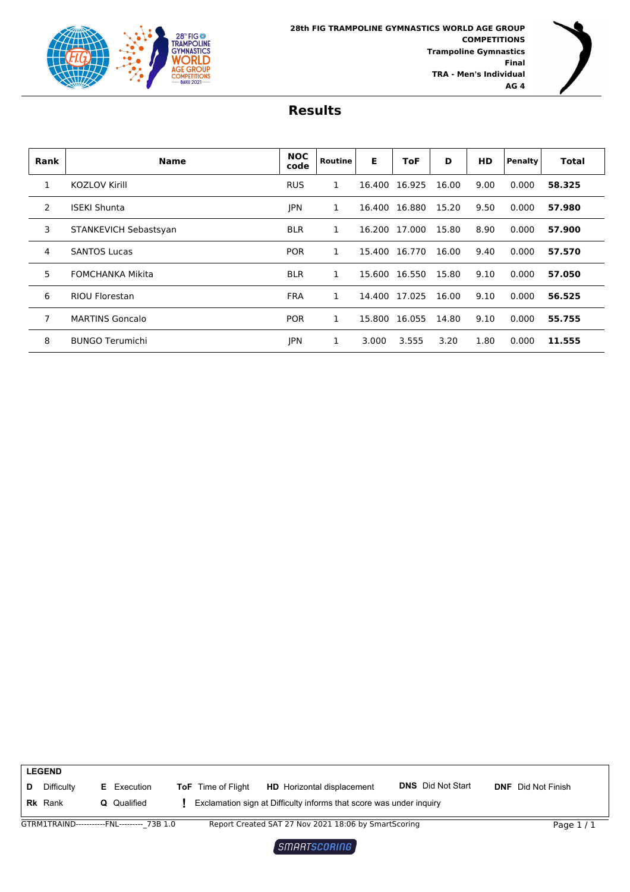



| <b>Rank</b> | <b>Name</b>             | <b>NOC</b><br>code | Routine | Е      | ToF    | D     | <b>HD</b> | Penalty | <b>Total</b> |
|-------------|-------------------------|--------------------|---------|--------|--------|-------|-----------|---------|--------------|
| 1           | <b>KOZLOV Kirill</b>    | <b>RUS</b>         | 1       | 16.400 | 16.925 | 16.00 | 9.00      | 0.000   | 58.325       |
| 2           | <b>ISEKI Shunta</b>     | <b>JPN</b>         | 1       | 16.400 | 16.880 | 15.20 | 9.50      | 0.000   | 57.980       |
| 3           | STANKEVICH Sebastsyan   | <b>BLR</b>         | 1       | 16.200 | 17.000 | 15.80 | 8.90      | 0.000   | 57.900       |
| 4           | <b>SANTOS Lucas</b>     | <b>POR</b>         | 1       | 15.400 | 16.770 | 16.00 | 9.40      | 0.000   | 57.570       |
| 5           | <b>FOMCHANKA Mikita</b> | <b>BLR</b>         | 1       | 15.600 | 16.550 | 15.80 | 9.10      | 0.000   | 57.050       |
| 6           | <b>RIOU Florestan</b>   | <b>FRA</b>         | 1       | 14.400 | 17.025 | 16.00 | 9.10      | 0.000   | 56.525       |
| 7           | <b>MARTINS Goncalo</b>  | <b>POR</b>         | 1       | 15.800 | 16.055 | 14.80 | 9.10      | 0.000   | 55.755       |
| 8           | <b>BUNGO Terumichi</b>  | <b>IPN</b>         |         | 3.000  | 3.555  | 3.20  | 1.80      | 0.000   | 11.555       |

|   | <b>LEGEND</b>                |    |                                            |                           |                                                                                                          |                          |                           |
|---|------------------------------|----|--------------------------------------------|---------------------------|----------------------------------------------------------------------------------------------------------|--------------------------|---------------------------|
| D | Difficulty<br><b>Rk</b> Rank | Е. | Execution<br><b>Q</b> Qualified            | <b>ToF</b> Time of Flight | <b>HD</b> Horizontal displacement<br>Exclamation sign at Difficulty informs that score was under inquiry | <b>DNS</b> Did Not Start | <b>DNF</b> Did Not Finish |
|   |                              |    |                                            |                           |                                                                                                          |                          |                           |
|   |                              |    | GTRM1TRAIND-----------FNL--------- 73B 1.0 |                           | Report Created SAT 27 Nov 2021 18:06 by SmartScoring                                                     |                          | Page $1/1$                |